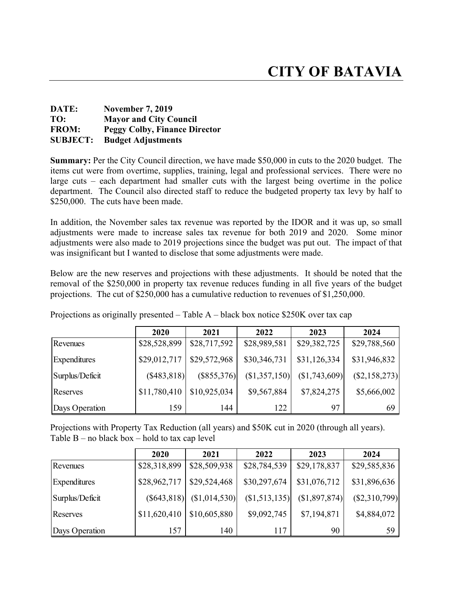## **DATE: November 7, 2019 TO: Mayor and City Council FROM: Peggy Colby, Finance Director SUBJECT: Budget Adjustments**

**Summary:** Per the City Council direction, we have made \$50,000 in cuts to the 2020 budget. The items cut were from overtime, supplies, training, legal and professional services. There were no large cuts – each department had smaller cuts with the largest being overtime in the police department. The Council also directed staff to reduce the budgeted property tax levy by half to \$250,000. The cuts have been made.

In addition, the November sales tax revenue was reported by the IDOR and it was up, so small adjustments were made to increase sales tax revenue for both 2019 and 2020. Some minor adjustments were also made to 2019 projections since the budget was put out. The impact of that was insignificant but I wanted to disclose that some adjustments were made.

Below are the new reserves and projections with these adjustments. It should be noted that the removal of the \$250,000 in property tax revenue reduces funding in all five years of the budget projections. The cut of \$250,000 has a cumulative reduction to revenues of \$1,250,000.

|                     | 2020         | 2021         | 2022          | 2023           | 2024            |
|---------------------|--------------|--------------|---------------|----------------|-----------------|
| Revenues            | \$28,528,899 | \$28,717,592 | \$28,989,581  | \$29,382,725   | \$29,788,560    |
| <b>Expenditures</b> | \$29,012,717 | \$29,572,968 | \$30,346,731  | \$31,126,334   | \$31,946,832    |
| Surplus/Deficit     | (\$483,818)  | (S855, 376)  | (\$1,357,150) | (S1, 743, 609) | $(\$2,158,273)$ |
| Reserves            | \$11,780,410 | \$10,925,034 | \$9,567,884   | \$7,824,275    | \$5,666,002     |
| Days Operation      | 159          | 144          | 122           | 97             | 69              |

Projections as originally presented – Table A – black box notice \$250K over tax cap

Projections with Property Tax Reduction (all years) and \$50K cut in 2020 (through all years). Table  $B$  – no black box – hold to tax cap level

|                     | 2020         | 2021                        | 2022           | 2023         | 2024            |
|---------------------|--------------|-----------------------------|----------------|--------------|-----------------|
| Revenues            | \$28,318,899 | \$28,509,938                | \$28,784,539   | \$29,178,837 | \$29,585,836    |
| <b>Expenditures</b> | \$28,962,717 | \$29,524,468                | \$30,297,674   | \$31,076,712 | \$31,896,636    |
| Surplus/Deficit     |              | $(S643,818)$ $(S1,014,530)$ | (S1, 513, 135) | (S1,897,874) | $(\$2,310,799)$ |
| Reserves            | \$11,620,410 | \$10,605,880                | \$9,092,745    | \$7,194,871  | \$4,884,072     |
| Days Operation      | 157          | 140                         | 117            | 90           | 59              |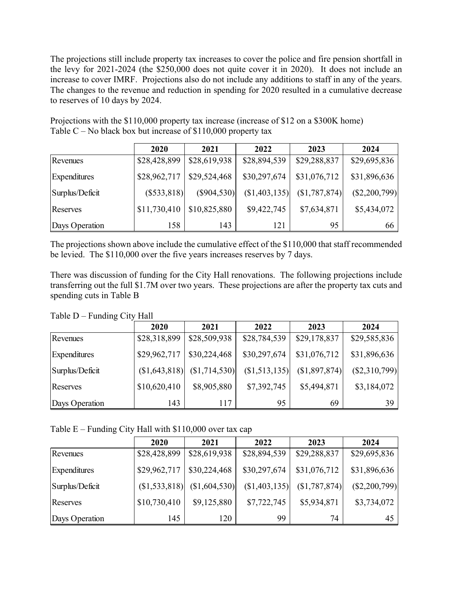The projections still include property tax increases to cover the police and fire pension shortfall in the levy for 2021-2024 (the \$250,000 does not quite cover it in 2020). It does not include an increase to cover IMRF. Projections also do not include any additions to staff in any of the years. The changes to the revenue and reduction in spending for 2020 resulted in a cumulative decrease to reserves of 10 days by 2024.

Projections with the \$110,000 property tax increase (increase of \$12 on a \$300K home) Table  $C$  – No black box but increase of \$110,000 property tax

|                     | 2020         | 2021         | 2022           | 2023           | 2024            |
|---------------------|--------------|--------------|----------------|----------------|-----------------|
| Revenues            | \$28,428,899 | \$28,619,938 | \$28,894,539   | \$29,288,837   | \$29,695,836    |
| <b>Expenditures</b> | \$28,962,717 | \$29,524,468 | \$30,297,674   | \$31,076,712   | \$31,896,636    |
| Surplus/Deficit     | (S533, 818)  | (S904, 530)  | (S1, 403, 135) | (S1, 787, 874) | $(\$2,200,799)$ |
| Reserves            | \$11,730,410 | \$10,825,880 | \$9,422,745    | \$7,634,871    | \$5,434,072     |
| Days Operation      | 158          | 143          | 121            | 95             | 66              |

The projections shown above include the cumulative effect of the \$110,000 that staff recommended be levied. The \$110,000 over the five years increases reserves by 7 days.

There was discussion of funding for the City Hall renovations. The following projections include transferring out the full \$1.7M over two years. These projections are after the property tax cuts and spending cuts in Table B

Table D – Funding City Hall

|                 | 2020           | 2021            | 2022         | 2023         | 2024            |
|-----------------|----------------|-----------------|--------------|--------------|-----------------|
| Revenues        | \$28,318,899   | \$28,509,938    | \$28,784,539 | \$29,178,837 | \$29,585,836    |
| Expenditures    | \$29,962,717   | \$30,224,468    | \$30,297,674 | \$31,076,712 | \$31,896,636    |
| Surplus/Deficit | (S1, 643, 818) | $(\$1,714,530)$ | (S1,513,135) | (S1,897,874) | $(\$2,310,799)$ |
| Reserves        | \$10,620,410   | \$8,905,880     | \$7,392,745  | \$5,494,871  | \$3,184,072     |
| Days Operation  | 143            | 117             | 95           | 69           | 39              |

Table  $E$  – Funding City Hall with \$110,000 over tax cap

|                     | 2020           | 2021         | 2022          | 2023           | 2024            |
|---------------------|----------------|--------------|---------------|----------------|-----------------|
| Revenues            | \$28,428,899   | \$28,619,938 | \$28,894,539  | \$29,288,837   | \$29,695,836    |
| <b>Expenditures</b> | \$29,962,717   | \$30,224,468 | \$30,297,674  | \$31,076,712   | \$31,896,636    |
| Surplus/Deficit     | (S1, 533, 818) | (S1,604,530) | (\$1,403,135) | (S1, 787, 874) | $(\$2,200,799)$ |
| Reserves            | \$10,730,410   | \$9,125,880  | \$7,722,745   | \$5,934,871    | \$3,734,072     |
| Days Operation      | 145            | 120          | 99            | 74             | 45              |